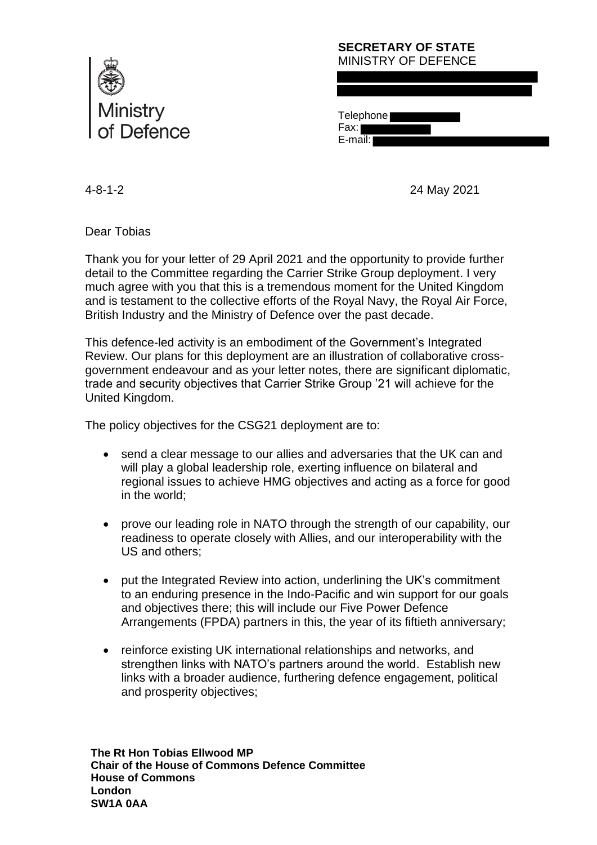

## **SECRETARY OF STATE** MINISTRY OF DEFENCE

**Telephone** Fax:

E-mail: I

4-8-1-2 24 May 2021

Dear Tobias

Thank you for your letter of 29 April 2021 and the opportunity to provide further detail to the Committee regarding the Carrier Strike Group deployment. I very much agree with you that this is a tremendous moment for the United Kingdom and is testament to the collective efforts of the Royal Navy, the Royal Air Force, British Industry and the Ministry of Defence over the past decade.

This defence-led activity is an embodiment of the Government's Integrated Review. Our plans for this deployment are an illustration of collaborative crossgovernment endeavour and as your letter notes, there are significant diplomatic, trade and security objectives that Carrier Strike Group '21 will achieve for the United Kingdom.

The policy objectives for the CSG21 deployment are to:

- send a clear message to our allies and adversaries that the UK can and will play a global leadership role, exerting influence on bilateral and regional issues to achieve HMG objectives and acting as a force for good in the world;
- prove our leading role in NATO through the strength of our capability, our readiness to operate closely with Allies, and our interoperability with the US and others;
- put the Integrated Review into action, underlining the UK's commitment to an enduring presence in the Indo-Pacific and win support for our goals and objectives there; this will include our Five Power Defence Arrangements (FPDA) partners in this, the year of its fiftieth anniversary;
- reinforce existing UK international relationships and networks, and strengthen links with NATO's partners around the world. Establish new links with a broader audience, furthering defence engagement, political and prosperity objectives;